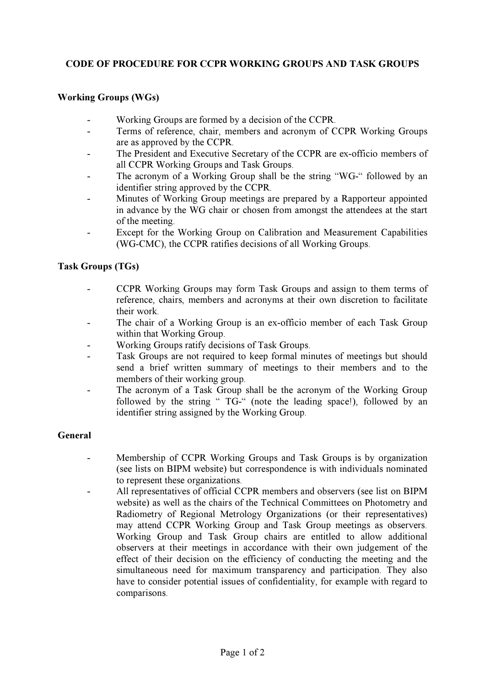## **CODE OF PROCEDURE FOR CCPR WORKING GROUPS AND TASK GROUPS** CODE OF PROCEDURE FOR CCPR WORKING GROUPS AND TASK GROUPS

## Working Groups (WGs)

- Working Groups are formed by a decision of the CCPR.
- Terms of reference, chair, members and acronym of CCPR Working Groups are as approved by the CCPR.
- The President and Executive Secretary of the CCPR are ex-officio members of all CCPR Working Groups and Task Groups.
- The acronym of a Working Group shall be the string "WG-" followed by an identifier string approved by the CCPR.
- Minutes of Working Group meetings are prepared by a Rapporteur appointed in advance by the WG chair or chosen from amongst the attendees at the start of the meeting.
- Except for the Working Group on Calibration and Measurement Capabilities (WG-CMC), the CCPR ratifies decisions of all Working Groups.

## Task Groups (TGs)

- CCPR Working Groups may form Task Groups and assign to them terms of reference, chairs, members and acronyms at their own discretion to facilitate their work.
- The chair of a Working Group is an ex-officio member of each Task Group within that Working Group.
- Working Groups ratify decisions of Task Groups.
- Task Groups are not required to keep formal minutes of meetings but should send a brief written summary of meetings to their members and to the members of their working group.
- The acronym of a Task Group shall be the acronym of the Working Group followed by the string " TG-" (note the leading space!), followed by an identifier string assigned by the Working Group.

## General General

- Membership of CCPR Working Groups and Task Groups is by organization (see lists on BIPM website) but correspondence is with individuals nominated to represent these organizations.
- All representatives of official CCPR members and observers (see list on BIPM website) as well as the chairs of the Technical Committees on Photometry and Radiometry of Regional Metrology Organizations (or their representatives) may attend CCPR Working Group and Task Group meetings as observers. Working Group and Task Group chairs are entitled to allow additional observers at their meetings in accordance with their own judgement of the effect of their decision on the efficiency of conducting the meeting and the simultaneous need for maximum transparency and participation. They also have to consider potential issues of confidentiality, for example with regard to comparisons.